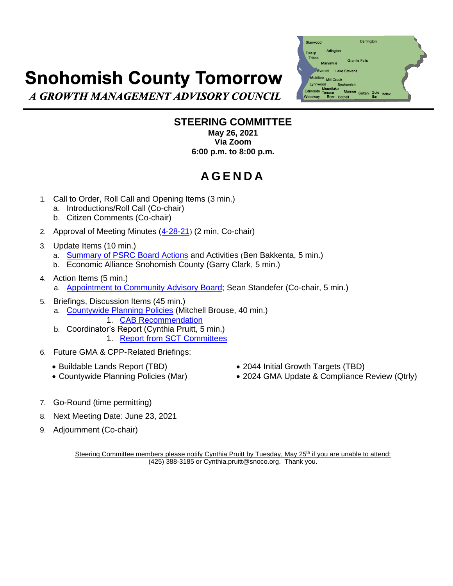## **Snohomish County Tomorrow**

A GROWTH MANAGEMENT ADVISORY COUNCIL

## Darrington Stanwood Arlington ulalic **Granite Falls** Marvsville Everett Lake Ste Mill Creek Snoh Mountlake Monroe Sultan Gold Inde **Rothell**

## **STEERING COMMITTEE May 26, 2021 Via Zoom 6:00 p.m. to 8:00 p.m.**

## **A G E N D A**

- 1. Call to Order, Roll Call and Opening Items (3 min.)
	- a. Introductions/Roll Call (Co-chair)
	- b. Citizen Comments (Co-chair)
- 2. Approval of Meeting Minutes [\(4-28-21](https://www.snohomishcountywa.gov/DocumentCenter/View/81846/MINd-SCT-SC-042821)) (2 min, Co-chair)
- 3. Update Items (10 min.)
	- a. [Summary of PSRC](https://www.snohomishcountywa.gov/DocumentCenter/View/81848/PSRC-Board-Summary-2021apr) Board Actions and Activities (Ben Bakkenta, 5 min.)
	- b. Economic Alliance Snohomish County (Garry Clark, 5 min.)
- 4. Action Items (5 min.)
	- a. [Appointment to Community Advisory Board;](https://www.snohomishcountywa.gov/DocumentCenter/View/81849/Standefer-Application_Resume-Combined) Sean Standefer (Co-chair, 5 min.)
- 5. Briefings, Discussion Items (45 min.)
	- a. [Countywide Planning Policies](https://www.snohomishcountywa.gov/DocumentCenter/View/81847/PAC_Recommendation_Attachmnt-1_Attachmnt-2_Combined) (Mitchell Brouse, 40 min.) 1. [CAB Recommendation](https://www.snohomishcountywa.gov/DocumentCenter/View/81850/CAB-Recommendation-CPP-cmp-2020_0121)
	- b. Coordinator's Report (Cynthia Pruitt, 5 min.) 1. Report [from SCT Committees](https://www.snohomishcountywa.gov/DocumentCenter/View/81851/Committee-reports-for-April-2021)
- 6. Future GMA & CPP-Related Briefings:
	-
	-
	- Buildable Lands Report (TBD) 2044 Initial Growth Targets (TBD)
	- Countywide Planning Policies (Mar) 2024 GMA Update & Compliance Review (Qtrly)
- 7. Go-Round (time permitting)
- 8. Next Meeting Date: June 23, 2021
- 9. Adjournment (Co-chair)

Steering Committee members please notify Cynthia Pruitt by Tuesday, May 25<sup>th</sup> if you are unable to attend: (425) 388-3185 or Cynthia.pruitt@snoco.org. Thank you.